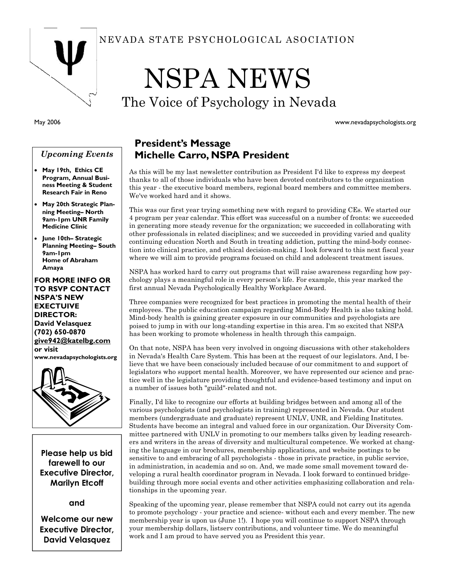

May 2006

### Upcoming Events

- May 19th, Ethics CE Program, Annual Business Meeting & Student Research Fair in Reno
- May 20th Strategic Planning Meeting– North 9am-1pm UNR Family Medicine Clinic
- June 10th– Strategic Planning Meeting– South 9am-1pm Home of Abraham Amaya

FOR MORE INFO OR TO RSVP CONTACT NSPA'S NEW EXECTUIVE DIRECTOR: David Velasquez (702) 650-0870 give942@katelbg.com or visit www.nevadapsychologists.org



Please help us bid farewell to our Executive Director, Marilyn Etcoff

and

Welcome our new Executive Director, David Velasquez

### NEVADA STATE PSYCHOLOGICAL ASOCIATION

# NSPA NEWS

The Voice of Psychology in Nevada

www.nevadapsychologists.org

### President's Message Michelle Carro, NSPA President

As this will be my last newsletter contribution as President I'd like to express my deepest thanks to all of those individuals who have been devoted contributors to the organization this year - the executive board members, regional board members and committee members. We've worked hard and it shows.

This was our first year trying something new with regard to providing CEs. We started our 4 program per year calendar. This effort was successful on a number of fronts: we succeeded in generating more steady revenue for the organization; we succeeded in collaborating with other professionals in related disciplines; and we succeeded in providing varied and quality continuing education North and South in treating addiction, putting the mind-body connection into clinical practice, and ethical decision-making. I look forward to this next fiscal year where we will aim to provide programs focused on child and adolescent treatment issues.

NSPA has worked hard to carry out programs that will raise awareness regarding how psychology plays a meaningful role in every person's life. For example, this year marked the first annual Nevada Psychologically Healthy Workplace Award.

Three companies were recognized for best practices in promoting the mental health of their employees. The public education campaign regarding Mind-Body Health is also taking hold. Mind-body health is gaining greater exposure in our communities and psychologists are poised to jump in with our long-standing expertise in this area. I'm so excited that NSPA has been working to promote wholeness in health through this campaign.

On that note, NSPA has been very involved in ongoing discussions with other stakeholders in Nevada's Health Care System. This has been at the request of our legislators. And, I believe that we have been consciously included because of our commitment to and support of legislators who support mental health. Moreover, we have represented our science and practice well in the legislature providing thoughtful and evidence-based testimony and input on a number of issues both "guild"-related and not.

Finally, I'd like to recognize our efforts at building bridges between and among all of the various psychologists (and psychologists in training) represented in Nevada. Our student members (undergraduate and graduate) represent UNLV, UNR, and Fielding Institutes. Students have become an integral and valued force in our organization. Our Diversity Committee partnered with UNLV in promoting to our members talks given by leading researchers and writers in the areas of diversity and multicultural competence. We worked at changing the language in our brochures, membership applications, and website postings to be sensitive to and embracing of all psychologists - those in private practice, in public service, in administration, in academia and so on. And, we made some small movement toward developing a rural health coordinator program in Nevada. I look forward to continued bridgebuilding through more social events and other activities emphasizing collaboration and relationships in the upcoming year.

Speaking of the upcoming year, please remember that NSPA could not carry out its agenda to promote psychology - your practice and science- without each and every member. The new membership year is upon us (June 1!). I hope you will continue to support NSPA through your membership dollars, listserv contributions, and volunteer time. We do meaningful work and I am proud to have served you as President this year.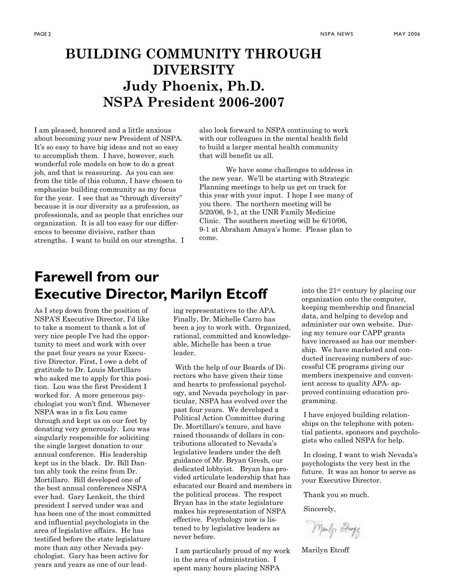### BUILDING COMMUNITY THROUGH **DIVERSITY** Judy Phoenix, Ph.D. NSPA President 2006-2007

I am pleased, honored and a little anxious about becoming your new President of NSPA. It's so easy to have big ideas and not so easy to accomplish them. I have, however, such wonderful role models on how to do a great job, and that is reassuring. As you can see from the title of this column, I have chosen to emphasize building community as my focus for the year. I see that as "through diversity" because it is our diversity as a profession, as professionals, and as people that enriches our organization. It is all too easy for our differences to become divisive, rather than strengths. I want to build on our strengths. I also look forward to NSPA continuing to work with our colleagues in the mental health field to build a larger mental health community that will benefit us all.

 We have some challenges to address in the new year. We'll be starting with Strategic Planning meetings to help us get on track for this year with your input. I hope I see many of you there. The northern meeting will be 5/20/06, 9-1, at the UNR Family Medicine Clinic. The southern meeting will be 6/10/06, 9-1 at Abraham Amaya's home. Please plan to come.

### Farewell from our Executive Director, Marilyn Etcoff

As I step down from the position of NSPA'S Executive Director, I'd like to take a moment to thank a lot of very nice people I've had the opportunity to meet and work with over the past four years as your Executive Director. First, I owe a debt of gratitude to Dr. Louis Mortillaro who asked me to apply for this position. Lou was the first President I worked for. A more generous psychologist you won't find. Whenever NSPA was in a fix Lou came through and kept us on our feet by donating very generously. Lou was singularly responsible for soliciting the single largest donation to our annual conference. His leadership kept us in the black. Dr. Bill Danton ably took the reins from Dr. Mortillaro. Bill developed one of the best annual conferences NSPA ever had. Gary Lenkeit, the third president I served under was and has been one of the most committed and influential psychologists in the area of legislative affairs. He has testified before the state legislature more than any other Nevada psychologist. Gary has been active for years and years as one of our leading representatives to the APA. Finally, Dr. Michelle Carro has been a joy to work with. Organized, rational, committed and knowledgeable, Michelle has been a true leader.

 With the help of our Boards of Directors who have given their time and hearts to professional psychology, and Nevada psychology in particular, NSPA has evolved over the past four years. We developed a Political Action Committee during Dr. Mortillaro's tenure, and have raised thousands of dollars in contributions allocated to Nevada's legislative leaders under the deft guidance of Mr. Bryan Gresh, our dedicated lobbyist. Bryan has provided articulate leadership that has educated our Board and members in the political process. The respect Bryan has in the state legislature makes his representation of NSPA effective. Psychology now is listened to by legislative leaders as never before.

 I am particularly proud of my work in the area of administration. I spent many hours placing NSPA

into the 21st century by placing our organization onto the computer, keeping membership and financial data, and helping to develop and administer our own website. During my tenure our CAPP grants have increased as has our membership. We have marketed and conducted increasing numbers of successful CE programs giving our members inexpensive and convenient access to quality APA- approved continuing education programming.

 I have enjoyed building relationships on the telephone with potential patients, sponsors and psychologists who called NSPA for help.

 In closing, I want to wish Nevada's psychologists the very best in the future. It was an honor to serve as your Executive Director.

Thank you so much.

Sincerely,

Manly Etory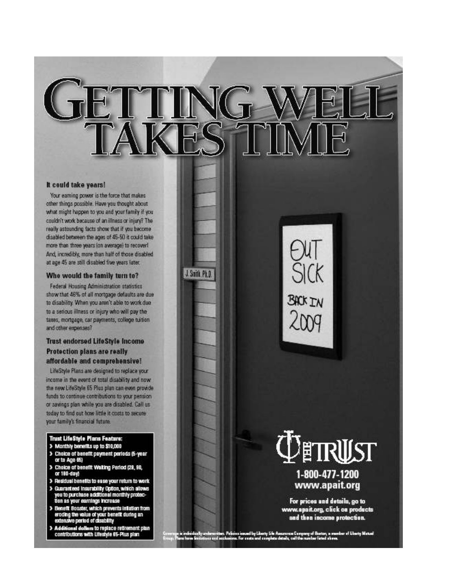J. Smith, Ph.D.

#### It could take years!

Your earning power is the force that makes other things possible. Have you thought about what might happen to you and your family if you couldn't work because of an illness or injury? The really astounding facts show that if you become disabled between the ages of 45-50 it could take more than three years (on average) to recover! And, incredibly, more than half of those disabled at age 45 are still disabled five years later.

#### Who would the family turn to?

Federal Housing Administration statistics show that 46% of all mortgage defaults are due to disability. When you aren't able to work due to a serious illness or injury who will pay the taxes, mortgage, car payments, college tuition and other expenses?

### **Trust endorsed LifeStyle Income** Protection plans are really affordable and comprehensive!

LifeStyle Plans are designed to replace your income in the event of total disability and now the new LifeStyle 65 Plus plan can even provide funds to continue contributions to your pension or savings plan while you are disabled. Call us today to find out how little it costs to secure your family's financial future.

#### **Trust LifeStyle Plans Feature:**

- > Monthly benefits up to \$10,000
- > Choice of benefit payment periods (5-year or to Age 65)
- > Choice of benefit Walting Period (28, 90,<br>or 190-day)
- > Residual benefits to ease your return to work
- > Guaranteed Insurability Option, which allows<br>you to purchase additional monthly protection as your earnings increase
- > Benefit Booster, which prevents initiation from eroding the value of your benefit during an<br>extensive period of clisability
- > Additional dollars to replace retirement plan<br>contributions with Lifestyle 65-Plus plan

**BACK IN**  $2009$ 



## www.apait.org

For prices and details, go to www.apait.org, click on products and then income protection.

n. Pelicies issued by Liberty Life Assurance Company of Boston, a member of Liberty Matuel.<br>Interiors: For easts and considers details, call the member listed above.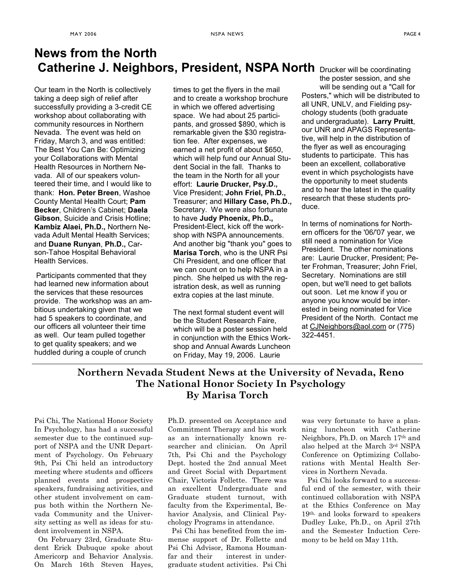### Catherine J. Neighbors, President, NSPA North Drucker will be coordinating News from the North

Our team in the North is collectively taking a deep sigh of relief after successfully providing a 3-credit CE workshop about collaborating with community resources in Northern Nevada. The event was held on Friday, March 3, and was entitled: The Best You Can Be: Optimizing your Collaborations with Mental Health Resources in Northern Nevada. All of our speakers volunteered their time, and I would like to thank: Hon. Peter Breen, Washoe County Mental Health Court; Pam Becker, Children's Cabinet; Daela Gibson, Suicide and Crisis Hotline; Kambiz Alaei, Ph.D., Northern Nevada Adult Mental Health Services; and Duane Runyan, Ph.D., Carson-Tahoe Hospital Behavioral Health Services.

Participants commented that they had learned new information about the services that these resources provide. The workshop was an ambitious undertaking given that we had 5 speakers to coordinate, and our officers all volunteer their time as well. Our team pulled together to get quality speakers; and we huddled during a couple of crunch

times to get the flyers in the mail and to create a workshop brochure in which we offered advertising space. We had about 25 participants, and grossed \$890, which is remarkable given the \$30 registration fee. After expenses, we earned a net profit of about \$650, which will help fund our Annual Student Social in the fall. Thanks to the team in the North for all your effort: Laurie Drucker, Psy.D., Vice President; John Friel, Ph.D., Treasurer; and Hillary Case, Ph.D., Secretary. We were also fortunate to have Judy Phoenix, Ph.D., President-Elect, kick off the workshop with NSPA announcements. And another big "thank you" goes to Marisa Torch, who is the UNR Psi Chi President, and one officer that we can count on to help NSPA in a pinch. She helped us with the registration desk, as well as running extra copies at the last minute.

The next formal student event will be the Student Research Faire, which will be a poster session held in conjunction with the Ethics Workshop and Annual Awards Luncheon on Friday, May 19, 2006. Laurie

the poster session, and she will be sending out a "Call for Posters," which will be distributed to all UNR, UNLV, and Fielding psychology students (both graduate and undergraduate). Larry Pruitt, our UNR and APAGS Representative, will help in the distribution of the flyer as well as encouraging students to participate. This has been an excellent, collaborative event in which psychologists have the opportunity to meet students and to hear the latest in the quality research that these students produce.

In terms of nominations for Northern officers for the '06/'07 year, we still need a nomination for Vice President. The other nominations are: Laurie Drucker, President; Peter Frohman, Treasurer; John Friel, Secretary. Nominations are still open, but we'll need to get ballots out soon. Let me know if you or anyone you know would be interested in being nominated for Vice President of the North. Contact me at CJNeighbors@aol.com or (775) 322-4451.

### Northern Nevada Student News at the University of Nevada, Reno The National Honor Society In Psychology By Marisa Torch

Psi Chi, The National Honor Society In Psychology, has had a successful semester due to the continued support of NSPA and the UNR Department of Psychology. On February 9th, Psi Chi held an introductory meeting where students and officers planned events and prospective speakers, fundraising activities, and other student involvement on campus both within the Northern Nevada Community and the University setting as well as ideas for student involvement in NSPA.

 On February 23rd, Graduate Student Erick Dubuque spoke about Americorp and Behavior Analysis. On March 16th Steven Hayes,

Ph.D. presented on Acceptance and Commitment Therapy and his work as an internationally known researcher and clinician. On April 7th, Psi Chi and the Psychology Dept. hosted the 2nd annual Meet and Greet Social with Department Chair, Victoria Follette. There was an excellent Undergraduate and Graduate student turnout, with faculty from the Experimental, Behavior Analysis, and Clinical Psychology Programs in attendance.

 Psi Chi has benefited from the immense support of Dr. Follette and Psi Chi Advisor, Ramona Houmanfar and their interest in undergraduate student activities. Psi Chi was very fortunate to have a planning luncheon with Catherine Neighbors, Ph.D. on March 17th and also helped at the March 3rd NSPA Conference on Optimizing Collaborations with Mental Health Services in Northern Nevada.

 Psi Chi looks forward to a successful end of the semester, with their continued collaboration with NSPA at the Ethics Conference on May 19th, and looks forward to speakers Dudley Luke, Ph.D., on April 27th and the Semester Induction Ceremony to be held on May 11th.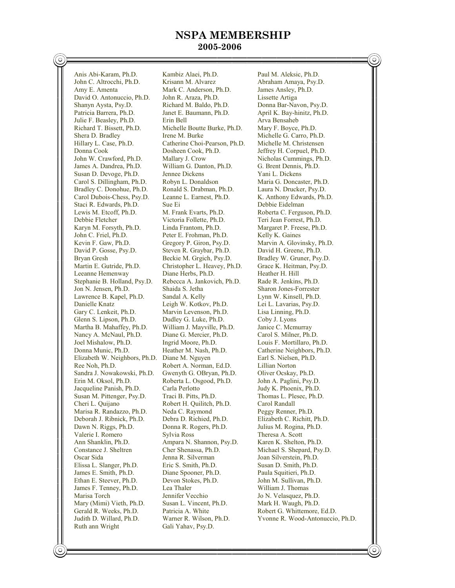### NSPA MEMBERSHIP

### 2005-2006

Anis Abi-Karam, Ph.D. Kambiz Alaei, Ph.D. Paul M. Aleksic, Ph.D. John C. Altrocchi, Ph.D. Krisann M. Alvarez Abraham Amaya, Psy.D. Amy E. Amenta Mark C. Anderson, Ph.D. James Ansley, Ph.D. David O. Antonuccio, Ph.D. John R. Araza, Ph.D. Lissette Artiga Shanyn Aysta, Psy.D. Richard M. Baldo, Ph.D. Donna Bar-Navon, Psy.D. Patricia Barrera, Ph.D. Janet E. Baumann, Ph.D. April K. Bay-hinitz, Ph.D. Julie F. Beasley, Ph.D. Erin Bell Arva Bensaheb Richard T. Bissett, Ph.D. Michelle Boutte Burke, Ph.D. Mary F. Boyce, Ph.D. Shera D. Bradley Irene M. Burke Michelle G. Carro, Ph.D.<br>Hillary L. Case, Ph.D. Catherine Choi-Pearson, Ph.D. Michelle M. Christensen Hillary L. Case, Ph.D. Catherine Choi-Pearson, Ph.D.<br>Donna Cook M.D. Cosheen Cook, Ph.D. Donna Cook **Dosheen Cook, Ph.D.** Jeffrey H. Corpuel, Ph.D.<br>
John W. Crawford, Ph.D. Mallary J. Crow Nicholas Cummings, Ph.I James A. Dandrea, Ph.D. William G. Danton, Ph.D. G. Brent Dennis, Ph.D. Susan D. Devoge, Ph.D. Jennee Dickens Yani L. Dickens Carol S. Dillingham, Ph.D. Robyn L. Donaldson Maria G. Doncaster, Ph.D.<br>Bradley C. Donohue, Ph.D. Ronald S. Drabman, Ph.D. Laura N. Drucker, Psy.D. Bradley C. Donohue, Ph.D. Carol Dubois-Chess, Psy.D. Leanne L. Earnest, Ph.D. K. Anthony Edwards, Ph.D. Staci R. Edwards, Ph.D. Sue Ei<br>
Lewis M. Etcoff, Ph.D. M. Frank Evarts, Ph.D. Lewis M. Etcoff, Ph.D. M. Frank Evarts, Ph.D. Roberta C. Ferguson, Ph.D. Debbie Fletcher Victoria Follette. Ph.D. Teri Jean Forrest. Ph.D. Karyn M. Forsyth, Ph.D. Linda Frantom, Ph.D. Margaret P. Freese, Ph.D. John C. Friel, Ph.D. Peter E. Frohman, Ph.D. Kelly K. Gaines Kevin F. Gaw, Ph.D. Gregory P. Giron, Psy.D. Marvin A. Glovinsky, Ph.D. David P. Gosse, Psy.D. Steven R. Graybar, Ph.D. David H. Greene, Ph.D. Bryan Gresh Beckie M. Grgich, Psy.D. Bradley W. Gruner, Psy.D. Martin E. Gutride, Ph.D. Christopher L. Heavey, Ph.D. Grace K. Heitman, Psy.D. Leeanne Hemenway Diane Herbs, Ph.D. Heather H. Hill<br>Stephanie B. Holland, Psy.D. Rebecca A. Jankovich, Ph.D. Rade R. Jenkins, Ph.D. Stephanie B. Holland, Psy.D. Jon N. Jensen, Ph.D. Shaida S. Jetha Sharon Jones-Forrester Lawrence B. Kapel, Ph.D. Sandal A. Kelly Danielle Knatz Leigh W. Kotkov, Ph.D. Lei L. Lavarias, Psy.D. Gary C. Lenkeit, Ph.D. Marvin Levenson, Ph.D. Lisa Linning, Ph.D. Glenn S. Lipson, Ph.D. Dudley G. Luke, Ph.D. Coby J. Lyons Martha B. Mahaffey, Ph.D. William J. Mayville, Ph.D. Janice C. Mcmurray Nancy A. McNaul, Ph.D. Diane G. Mercier, Ph.D. Carol S. Milner, Ph.D. Joel Mishalow, Ph.D. Ingrid Moore, Ph.D. Louis F. Mortillaro, Ph.D. Donna Munic, Ph.D. Heather M. Nash, Ph.D. Catherine Neighbors, Ph.D. Elizabeth W. Neighbors, Ph.D. Diane M. Nguyen Earl S. Nielsen, Ph.D.<br>Ree Noh. Ph.D. Robert A. Norman. Ed.D. Lillian Norton Ree Noh, Ph.D.<br>
Sandra J. Nowakowski, Ph.D. Gwenyth G. OBryan, Ph.D. Oliver Ocskay, Ph.D. Sandra J. Nowakowski, Ph.D. Gwenyth G. OBryan, Ph.D. Oliver Ocskay, Ph.D. Jacqueline Panish, Ph.D. Carla Perlotto Judy K. Phoenix, Ph.D. Susan M. Pittenger, Psy.D. Traci B. Pitts, Ph.D. Thomas L. Plese Cheri L. Quijano Robert H. Quilitch, Ph.D. Carol Randall Marisa R. Randazzo, Ph.D. Deborah J. Ribnick, Ph.D. Debra D. Richied, Ph.D. Elizabeth C. Richitt, Ph.D. Dawn N. Riggs, Ph.D. Donna R. Rogers, Ph.D. Julius M. Rogina, Ph.D. Valerie I. Romero Sylvia Ross Theresa A. Scott<br>
Ann Shanklin, Ph.D. Ampara N. Shannon, Psy.D. Karen K. Shelton, Ph.D. Constance J. Sheltren Cher Shenassa, Ph.D. Michael S. Shepard, Psy.D. Oscar Sida Jenna R. Silverman Joan Silverstein, Ph.D. Elissa L. Slanger, Ph.D. Eric S. Smith, Ph.D. Susan D. Smith, Ph.D. James E. Smith, Ph.D. Diane Spooner, Ph.D. Paula Squitieri, Ph.D. James E. Smith, Ph.D. Ethan E. Steever, Ph.D. Devon Stokes, Ph.D. John M. Sullivan, Ph.D. James F. Tenney, Ph.D. Lea Thaler William J. Thomas Marisa Torch Jennifer Vecchio Jo N. Velasquez, Ph.D. Mary (Mimi) Vieth, Ph.D. Susan L. Vincent, Ph.D. Mark H. Waugh, Ph.D. Gerald R. Weeks, Ph.D. Patricia A. White Robert G. Whittemore, Ed.D. Judith D. Willard, Ph.D. Warner R. Wilson, Ph.D. Yvonne R. Wood-Antonuccio, Ph.D.

Roberta L. Osgood, Ph.D. Robert H. Quilitch, Ph.D. Carol Randall<br>
Neda C. Raymond Peggy Renner, Ph.D. Ampara N. Shannon, Psy.D. Gali Yahav, Psy.D.

Nicholas Cummings, Ph.D. Teri Jean Forrest, Ph.D.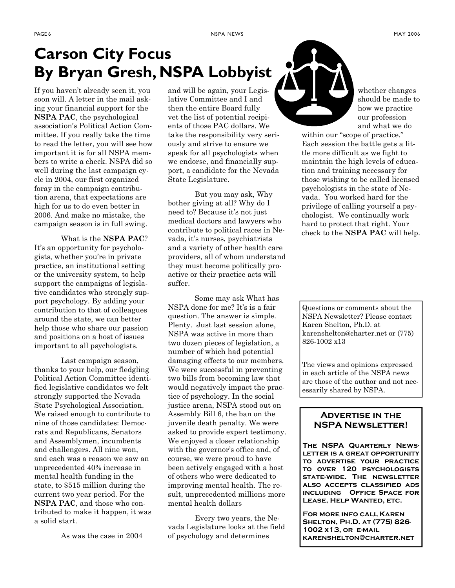### Carson City Focus By Bryan Gresh, NSPA Lobbyist

If you haven't already seen it, you soon will. A letter in the mail asking your financial support for the NSPA PAC, the psychological association's Political Action Committee. If you really take the time to read the letter, you will see how important it is for all NSPA members to write a check. NSPA did so well during the last campaign cycle in 2004, our first organized foray in the campaign contribution arena, that expectations are high for us to do even better in 2006. And make no mistake, the campaign season is in full swing.

 What is the NSPA PAC? It's an opportunity for psychologists, whether you're in private practice, an institutional setting or the university system, to help support the campaigns of legislative candidates who strongly support psychology. By adding your contribution to that of colleagues around the state, we can better help those who share our passion and positions on a host of issues important to all psychologists.

 Last campaign season, thanks to your help, our fledgling Political Action Committee identified legislative candidates we felt strongly supported the Nevada State Psychological Association. We raised enough to contribute to nine of those candidates: Democrats and Republicans, Senators and Assemblymen, incumbents and challengers. All nine won, and each was a reason we saw an unprecedented 40% increase in mental health funding in the state, to \$515 million during the current two year period. For the NSPA PAC, and those who contributed to make it happen, it was a solid start.

As was the case in 2004

and will be again, your Legislative Committee and I and then the entire Board fully vet the list of potential recipients of those PAC dollars. We take the responsibility very seriously and strive to ensure we speak for all psychologists when we endorse, and financially support, a candidate for the Nevada State Legislature.

 But you may ask, Why bother giving at all? Why do I need to? Because it's not just medical doctors and lawyers who contribute to political races in Nevada, it's nurses, psychiatrists and a variety of other health care providers, all of whom understand they must become politically proactive or their practice acts will suffer.

 Some may ask What has NSPA done for me? It's is a fair question. The answer is simple. Plenty. Just last session alone, NSPA was active in more than two dozen pieces of legislation, a number of which had potential damaging effects to our members. We were successful in preventing two bills from becoming law that would negatively impact the practice of psychology. In the social justice arena, NSPA stood out on Assembly Bill 6, the ban on the juvenile death penalty. We were asked to provide expert testimony. We enjoyed a closer relationship with the governor's office and, of course, we were proud to have been actively engaged with a host of others who were dedicated to improving mental health. The result, unprecedented millions more mental health dollars

 Every two years, the Nevada Legislature looks at the field of psychology and determines



whether changes should be made to how we practice our profession and what we do

within our "scope of practice." Each session the battle gets a little more difficult as we fight to maintain the high levels of education and training necessary for those wishing to be called licensed psychologists in the state of Nevada. You worked hard for the privilege of calling yourself a psychologist. We continually work hard to protect that right. Your check to the NSPA PAC will help.

Questions or comments about the NSPA Newsletter? Please contact Karen Shelton, Ph.D. at karenshelton@charter.net or (775) 826-1002 x13

The views and opinions expressed in each article of the NSPA news are those of the author and not necessarily shared by NSPA.

### **Advertise in the NSPA Newsletter!**

**The NSPA Quarterly Newsletter is a great opportunity to advertise your practice to over 120 psychologists state-wide. The newsletter also accepts classified ads including Office Space for Lease, Help Wanted, etc.** 

**For more info call Karen Shelton, Ph.D. at (775) 826- 1002 x13, or e-mail karenshelton@charter.net**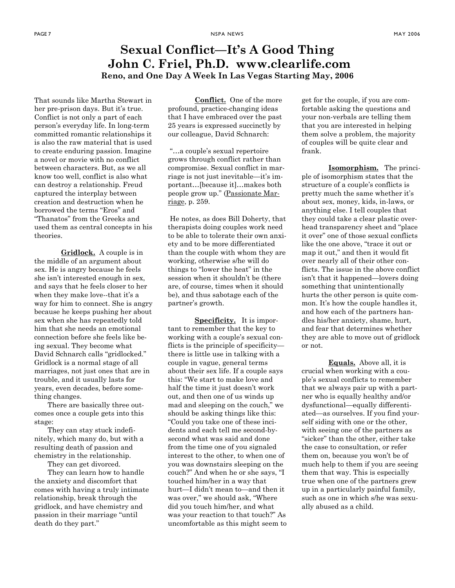### Sexual Conflict—It's A Good Thing John C. Friel, Ph.D. www.clearlife.com Reno, and One Day A Week In Las Vegas Starting May, 2006

That sounds like Martha Stewart in her pre-prison days. But it's true. Conflict is not only a part of each person's everyday life. In long-term committed romantic relationships it is also the raw material that is used to create enduring passion. Imagine a novel or movie with no conflict between characters. But, as we all know too well, conflict is also what can destroy a relationship. Freud captured the interplay between creation and destruction when he borrowed the terms "Eros" and "Thanatos" from the Greeks and used them as central concepts in his theories.

Gridlock. A couple is in the middle of an argument about sex. He is angry because he feels she isn't interested enough in sex, and says that he feels closer to her when they make love--that it's a way for him to connect. She is angry because he keeps pushing her about sex when she has repeatedly told him that she needs an emotional connection before she feels like being sexual. They become what David Schnarch calls "gridlocked." Gridlock is a normal stage of all marriages, not just ones that are in trouble, and it usually lasts for years, even decades, before something changes.

There are basically three outcomes once a couple gets into this stage:

They can stay stuck indefinitely, which many do, but with a resulting death of passion and chemistry in the relationship.

They can get divorced.

They can learn how to handle the anxiety and discomfort that comes with having a truly intimate relationship, break through the gridlock, and have chemistry and passion in their marriage "until death do they part."

Conflict. One of the more profound, practice-changing ideas that I have embraced over the past 25 years is expressed succinctly by our colleague, David Schnarch:

 "…a couple's sexual repertoire grows through conflict rather than compromise. Sexual conflict in marriage is not just inevitable—it's important…[because it]…makes both people grow up." (Passionate Marriage, p. 259.

 He notes, as does Bill Doherty, that therapists doing couples work need to be able to tolerate their own anxiety and to be more differentiated than the couple with whom they are working, otherwise s/he will do things to "lower the heat" in the session when it shouldn't be (there are, of course, times when it should be), and thus sabotage each of the partner's growth.

Specificity. It is important to remember that the key to working with a couple's sexual conflicts is the principle of specificity there is little use in talking with a couple in vague, general terms about their sex life. If a couple says this: "We start to make love and half the time it just doesn't work out, and then one of us winds up mad and sleeping on the couch," we should be asking things like this: "Could you take one of these incidents and each tell me second-bysecond what was said and done from the time one of you signaled interest to the other, to when one of you was downstairs sleeping on the couch?" And when he or she says, "I touched him/her in a way that hurt—I didn't mean to—and then it was over," we should ask, "Where did you touch him/her, and what was your reaction to that touch?" As uncomfortable as this might seem to get for the couple, if you are comfortable asking the questions and your non-verbals are telling them that you are interested in helping them solve a problem, the majority of couples will be quite clear and frank.

Isomorphism. The principle of isomorphism states that the structure of a couple's conflicts is pretty much the same whether it's about sex, money, kids, in-laws, or anything else. I tell couples that they could take a clear plastic overhead transparency sheet and "place it over" one of those sexual conflicts like the one above, "trace it out or map it out," and then it would fit over nearly all of their other conflicts. The issue in the above conflict isn't that it happened—lovers doing something that unintentionally hurts the other person is quite common. It's how the couple handles it, and how each of the partners handles his/her anxiety, shame, hurt, and fear that determines whether they are able to move out of gridlock or not.

Equals. Above all, it is crucial when working with a couple's sexual conflicts to remember that we always pair up with a partner who is equally healthy and/or dysfunctional—equally differentiated—as ourselves. If you find yourself siding with one or the other, with seeing one of the partners as "sicker" than the other, either take the case to consultation, or refer them on, because you won't be of much help to them if you are seeing them that way. This is especially true when one of the partners grew up in a particularly painful family, such as one in which s/he was sexually abused as a child.